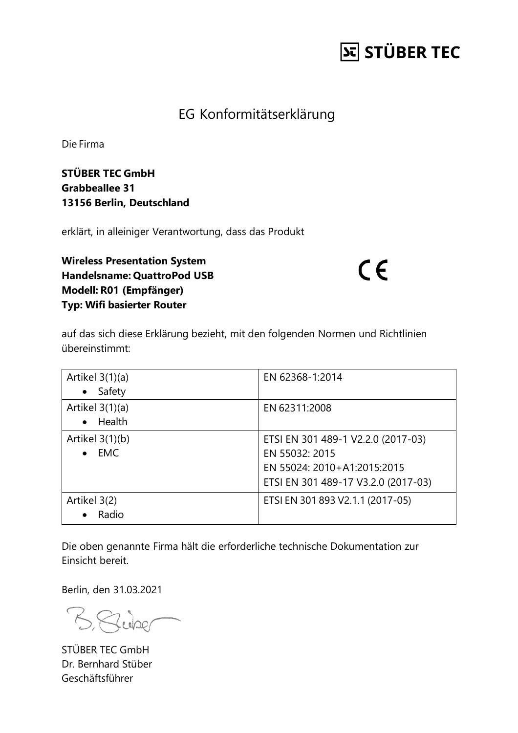## **St STÜBER TEC**

#### EG Konformitätserklärung

Die Firma

**STÜBER TEC GmbH Grabbeallee 31 13156 Berlin, Deutschland**

erklärt, in alleiniger Verantwortung, dass das Produkt

**Wireless Presentation System Handelsname: QuattroPod USB Modell: R01 (Empfänger) Typ: Wifi basierter Router**

 $C \in$ 

auf das sich diese Erklärung bezieht, mit den folgenden Normen und Richtlinien übereinstimmt:

| Artikel 3(1)(a)<br>Safety<br>$\bullet$       | EN 62368-1:2014                                                                                                            |
|----------------------------------------------|----------------------------------------------------------------------------------------------------------------------------|
| Artikel $3(1)(a)$<br>Health<br>$\bullet$     | EN 62311:2008                                                                                                              |
| Artikel $3(1)(b)$<br><b>EMC</b><br>$\bullet$ | ETSI EN 301 489-1 V2.2.0 (2017-03)<br>EN 55032: 2015<br>EN 55024: 2010+A1:2015:2015<br>ETSI EN 301 489-17 V3.2.0 (2017-03) |
| Artikel 3(2)<br>Radio<br>$\bullet$           | ETSI EN 301 893 V2.1.1 (2017-05)                                                                                           |

Die oben genannte Firma hält die erforderliche technische Dokumentation zur Einsicht bereit.

Berlin, den 31.03.2021

BRUDE

STÜBER TEC GmbH Dr. Bernhard Stüber Geschäftsführer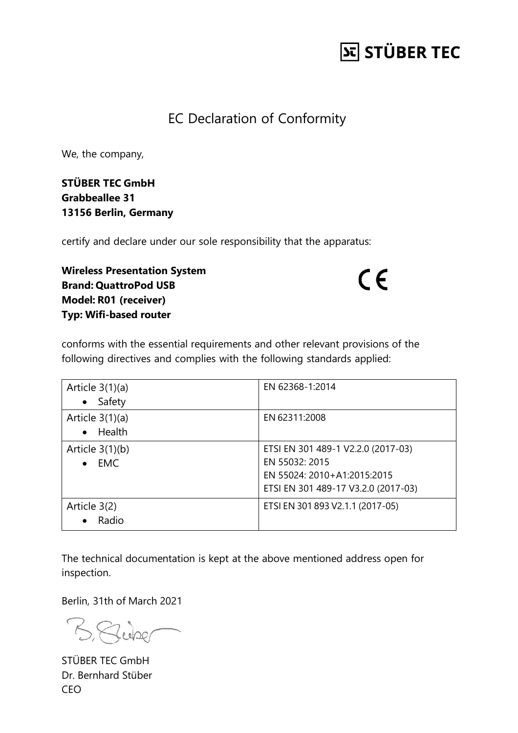## **St STÜBER TEC**

#### EC Declaration of Conformity

We, the company,

**STÜBER TEC GmbH Grabbeallee 31 13156 Berlin, Germany**

certify and declare under our sole responsibility that the apparatus:

**Wireless Presentation System Brand: QuattroPod USB Model: R01 (receiver) Typ: Wifi-based router**

 $C \in$ 

conforms with the essential requirements and other relevant provisions of the following directives and complies with the following standards applied:

| Article $3(1)(a)$<br>Safety<br>$\bullet$     | EN 62368-1:2014                                                                                                            |
|----------------------------------------------|----------------------------------------------------------------------------------------------------------------------------|
| Article $3(1)(a)$<br>Health<br>$\bullet$     | EN 62311:2008                                                                                                              |
| Article $3(1)(b)$<br><b>EMC</b><br>$\bullet$ | ETSI EN 301 489-1 V2.2.0 (2017-03)<br>EN 55032: 2015<br>EN 55024: 2010+A1:2015:2015<br>ETSI EN 301 489-17 V3.2.0 (2017-03) |
| Article 3(2)<br>Radio<br>$\bullet$           | ETSI EN 301 893 V2.1.1 (2017-05)                                                                                           |

The technical documentation is kept at the above mentioned address open for inspection.

Berlin, 31th of March 2021

Bung

STÜBER TEC GmbH Dr. Bernhard Stüber CEO